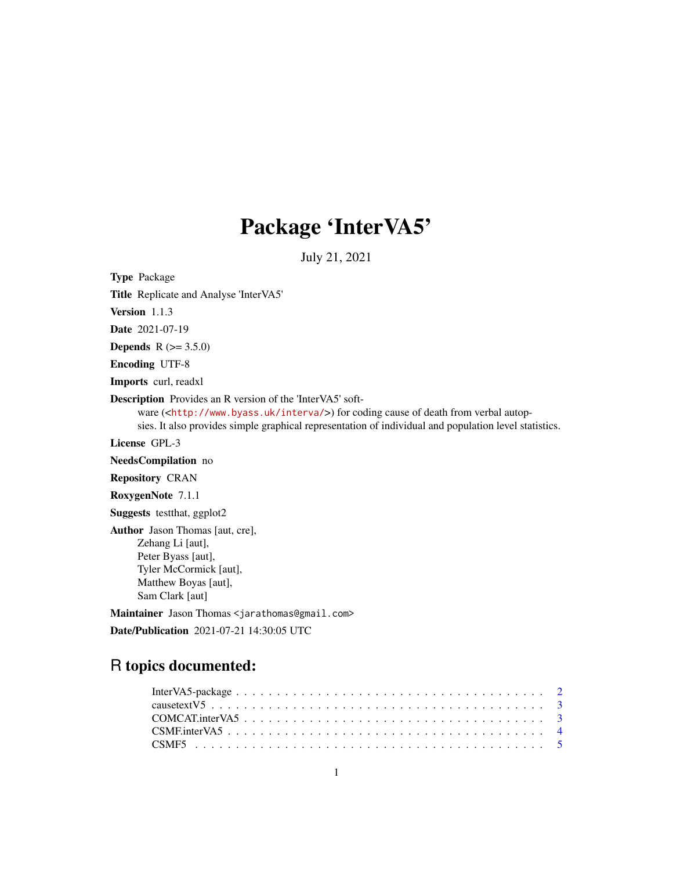# Package 'InterVA5'

July 21, 2021

<span id="page-0-0"></span>Type Package

Title Replicate and Analyse 'InterVA5'

Version 1.1.3

Date 2021-07-19

**Depends** R  $(>= 3.5.0)$ 

Encoding UTF-8

Imports curl, readxl

Description Provides an R version of the 'InterVA5' soft-

ware (<<http://www.byass.uk/interva/>>) for coding cause of death from verbal autop-

sies. It also provides simple graphical representation of individual and population level statistics.

License GPL-3

NeedsCompilation no

Repository CRAN

RoxygenNote 7.1.1

Suggests testthat, ggplot2

Author Jason Thomas [aut, cre], Zehang Li [aut], Peter Byass [aut], Tyler McCormick [aut], Matthew Boyas [aut], Sam Clark [aut]

Maintainer Jason Thomas <jarathomas@gmail.com>

Date/Publication 2021-07-21 14:30:05 UTC

# R topics documented: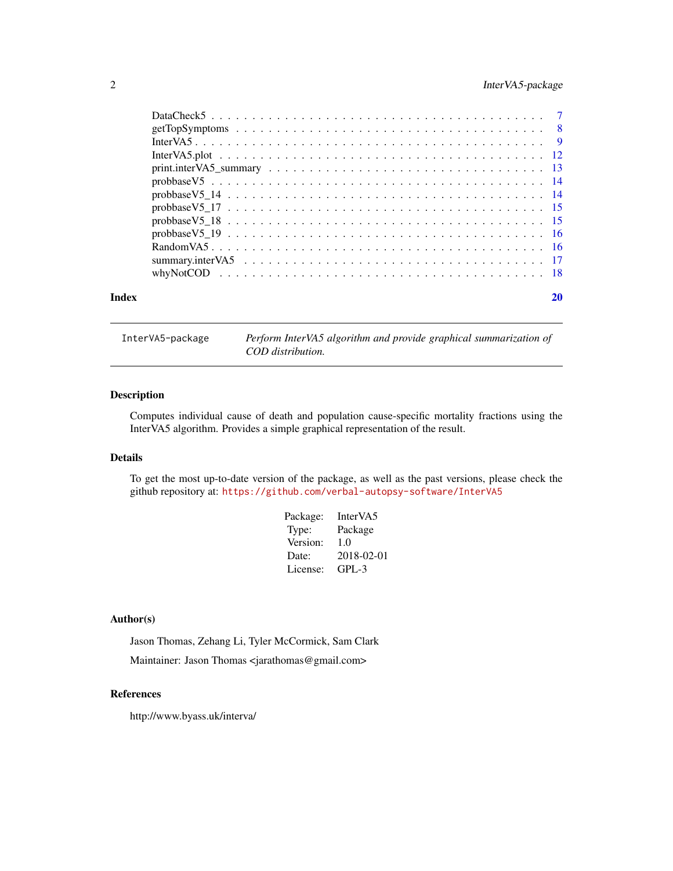# <span id="page-1-0"></span>2 InterVA5-package

| Index |  |
|-------|--|

InterVA5-package *Perform InterVA5 algorithm and provide graphical summarization of COD distribution.*

#### Description

Computes individual cause of death and population cause-specific mortality fractions using the InterVA5 algorithm. Provides a simple graphical representation of the result.

#### Details

To get the most up-to-date version of the package, as well as the past versions, please check the github repository at: <https://github.com/verbal-autopsy-software/InterVA5>

| Package: | InterVA5   |
|----------|------------|
| Type:    | Package    |
| Version: | 1.0        |
| Date:    | 2018-02-01 |
| License: | GPL-3      |

### Author(s)

Jason Thomas, Zehang Li, Tyler McCormick, Sam Clark Maintainer: Jason Thomas <jarathomas@gmail.com>

#### References

http://www.byass.uk/interva/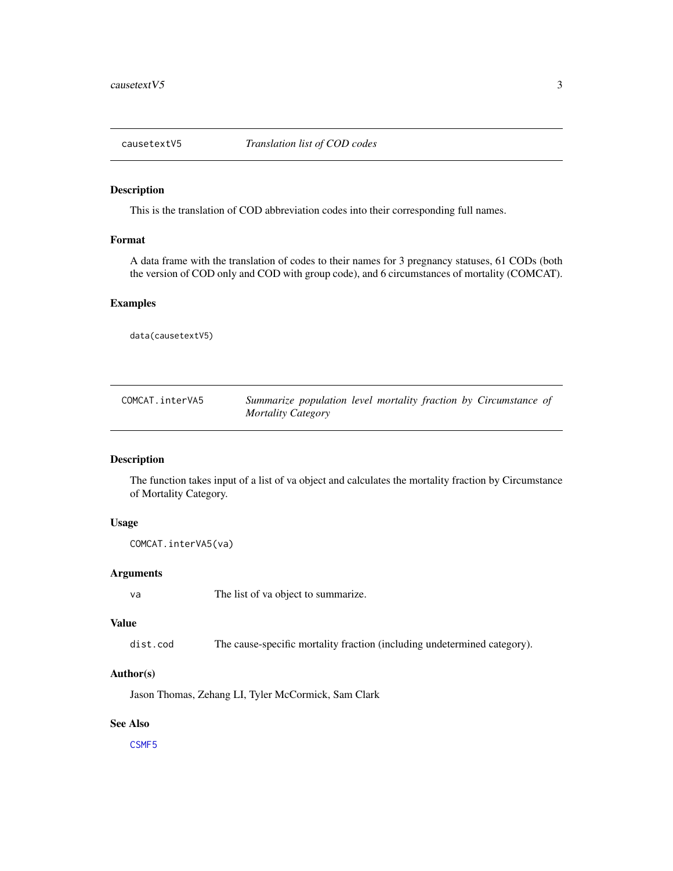<span id="page-2-0"></span>

This is the translation of COD abbreviation codes into their corresponding full names.

# Format

A data frame with the translation of codes to their names for 3 pregnancy statuses, 61 CODs (both the version of COD only and COD with group code), and 6 circumstances of mortality (COMCAT).

# Examples

data(causetextV5)

| COMCAT.interVA5 | Summarize population level mortality fraction by Circumstance of |
|-----------------|------------------------------------------------------------------|
|                 | Mortality Category                                               |

# Description

The function takes input of a list of va object and calculates the mortality fraction by Circumstance of Mortality Category.

## Usage

COMCAT.interVA5(va)

#### Arguments

va The list of va object to summarize.

# Value

dist.cod The cause-specific mortality fraction (including undetermined category).

#### Author(s)

Jason Thomas, Zehang LI, Tyler McCormick, Sam Clark

# See Also

[CSMF5](#page-4-1)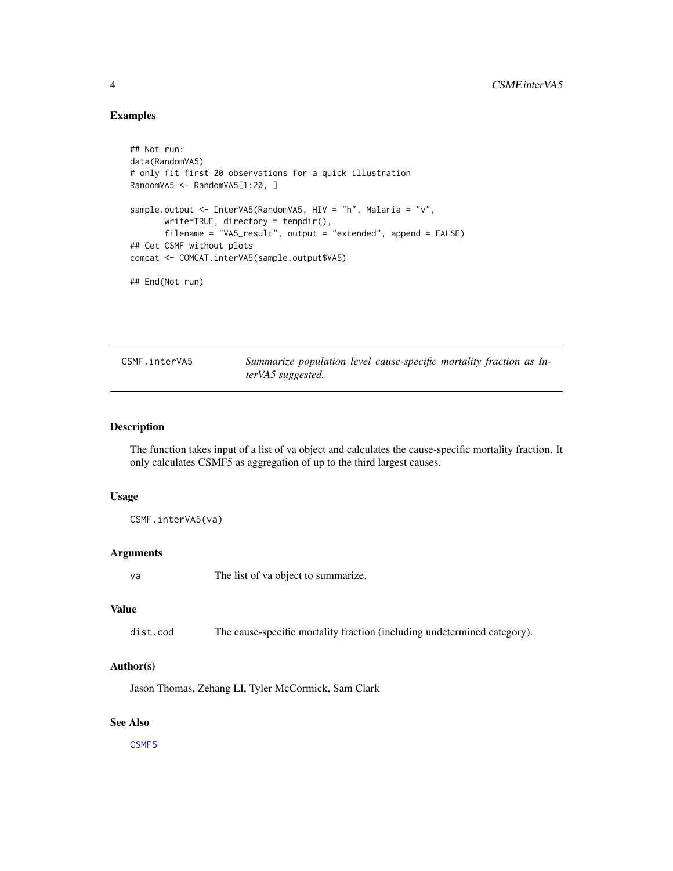#### Examples

```
## Not run:
data(RandomVA5)
# only fit first 20 observations for a quick illustration
RandomVA5 <- RandomVA5[1:20, ]
sample.output <- InterVA5(RandomVA5, HIV = "h", Malaria = "v",
      write=TRUE, directory = tempdir(),
      filename = "VA5_result", output = "extended", append = FALSE)
## Get CSMF without plots
comcat <- COMCAT.interVA5(sample.output$VA5)
## End(Not run)
```
<span id="page-3-1"></span>CSMF.interVA5 *Summarize population level cause-specific mortality fraction as InterVA5 suggested.*

#### Description

The function takes input of a list of va object and calculates the cause-specific mortality fraction. It only calculates CSMF5 as aggregation of up to the third largest causes.

## Usage

CSMF.interVA5(va)

#### Arguments

va The list of va object to summarize.

# Value

dist.cod The cause-specific mortality fraction (including undetermined category).

# Author(s)

Jason Thomas, Zehang LI, Tyler McCormick, Sam Clark

#### See Also

[CSMF5](#page-4-1)

<span id="page-3-0"></span>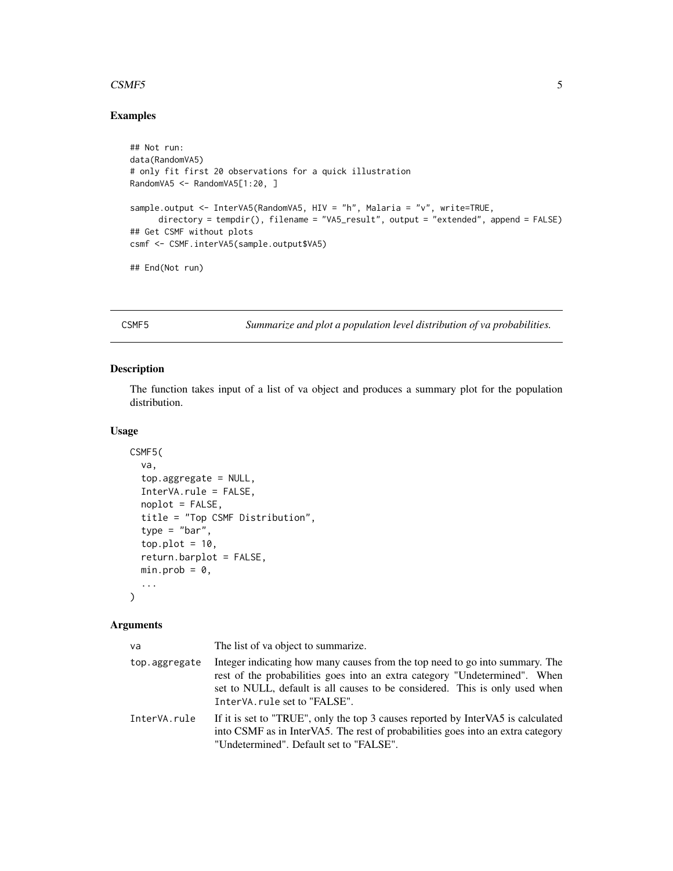#### <span id="page-4-0"></span> $CSMF5$  5

#### Examples

```
## Not run:
data(RandomVA5)
# only fit first 20 observations for a quick illustration
RandomVA5 <- RandomVA5[1:20, ]
sample.output <- InterVA5(RandomVA5, HIV = "h", Malaria = "v", write=TRUE,
     directory = tempdir(), filename = "VA5_result", output = "extended", append = FALSE)
## Get CSMF without plots
csmf <- CSMF.interVA5(sample.output$VA5)
## End(Not run)
```
<span id="page-4-1"></span>CSMF5 *Summarize and plot a population level distribution of va probabilities.*

# Description

The function takes input of a list of va object and produces a summary plot for the population distribution.

# Usage

```
CSMF5(
  va,
  top.aggregate = NULL,
  InterVA.rule = FALSE,
  noplot = FALSE,
  title = "Top CSMF Distribution",
  type = "bar",top.plot = 10,return.barplot = FALSE,
 min.prob = 0,...
\mathcal{L}
```
#### Arguments

| va            | The list of va object to summarize.                                                                                                                                                                                                                                       |
|---------------|---------------------------------------------------------------------------------------------------------------------------------------------------------------------------------------------------------------------------------------------------------------------------|
| top.aggregate | Integer indicating how many causes from the top need to go into summary. The<br>rest of the probabilities goes into an extra category "Undetermined". When<br>set to NULL, default is all causes to be considered. This is only used when<br>InterVA.rule set to "FALSE". |
| InterVA.rule  | If it is set to "TRUE", only the top 3 causes reported by InterVA5 is calculated<br>into CSMF as in InterVA5. The rest of probabilities goes into an extra category<br>"Undetermined". Default set to "FALSE".                                                            |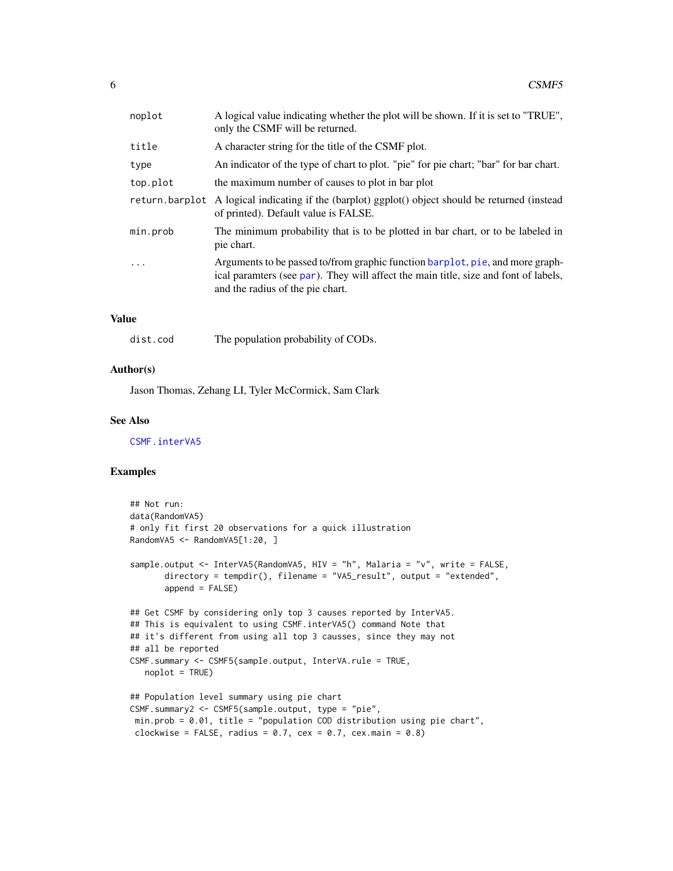<span id="page-5-0"></span>

| noplot   | A logical value indicating whether the plot will be shown. If it is set to "TRUE",<br>only the CSMF will be returned.                                                                                    |
|----------|----------------------------------------------------------------------------------------------------------------------------------------------------------------------------------------------------------|
| title    | A character string for the title of the CSMF plot.                                                                                                                                                       |
| type     | An indicator of the type of chart to plot. "pie" for pie chart; "bar" for bar chart.                                                                                                                     |
| top.plot | the maximum number of causes to plot in bar plot                                                                                                                                                         |
|          | return barplot A logical indicating if the (barplot) ggplot() object should be returned (instead<br>of printed). Default value is FALSE.                                                                 |
| min.prob | The minimum probability that is to be plotted in bar chart, or to be labeled in<br>pie chart.                                                                                                            |
| .        | Arguments to be passed to/from graphic function barplot, pie, and more graph-<br>ical paramters (see par). They will affect the main title, size and font of labels,<br>and the radius of the pie chart. |
|          |                                                                                                                                                                                                          |

### Value

| dist.cod | The population probability of CODs. |  |  |
|----------|-------------------------------------|--|--|
|----------|-------------------------------------|--|--|

# Author(s)

Jason Thomas, Zehang LI, Tyler McCormick, Sam Clark

#### See Also

[CSMF.interVA5](#page-3-1)

# Examples

```
## Not run:
data(RandomVA5)
# only fit first 20 observations for a quick illustration
RandomVA5 <- RandomVA5[1:20, ]
sample.output <- InterVA5(RandomVA5, HIV = "h", Malaria = "v", write = FALSE,
       directory = tempdir(), filename = "VA5_result", output = "extended",
       append = FALSE)## Get CSMF by considering only top 3 causes reported by InterVA5.
## This is equivalent to using CSMF.interVA5() command Note that
## it's different from using all top 3 causses, since they may not
## all be reported
CSMF.summary <- CSMF5(sample.output, InterVA.rule = TRUE,
  noplot = TRUE)
## Population level summary using pie chart
CSMF.summary2 <- CSMF5(sample.output, type = "pie",
min.prob = 0.01, title = "population COD distribution using pie chart",
 clockwise = FALSE, radius = 0.7, cex = 0.7, cex.main = 0.8)
```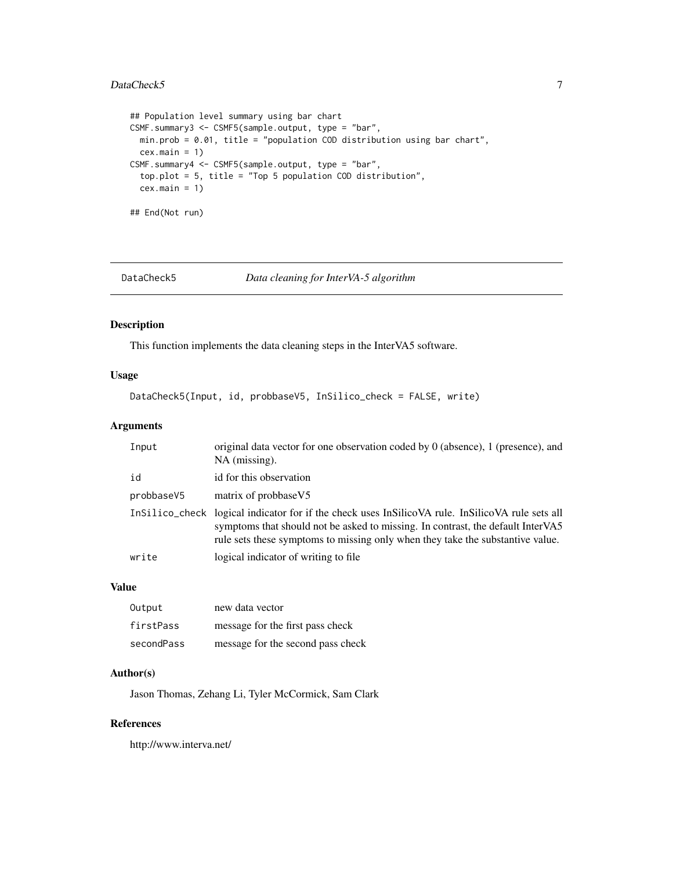# <span id="page-6-0"></span>DataCheck5 7

```
## Population level summary using bar chart
CSMF.summary3 <- CSMF5(sample.output, type = "bar",
 min.prob = 0.01, title = "population COD distribution using bar chart",
  cex.mainloop = 1)CSMF.summary4 <- CSMF5(sample.output, type = "bar",
  top.plot = 5, title = "Top 5 population COD distribution",
  cex.mainloop = 1)## End(Not run)
```
DataCheck5 *Data cleaning for InterVA-5 algorithm*

#### Description

This function implements the data cleaning steps in the InterVA5 software.

# Usage

DataCheck5(Input, id, probbaseV5, InSilico\_check = FALSE, write)

# Arguments

| Input      | original data vector for one observation coded by 0 (absence), 1 (presence), and<br>NA (missing).                                                                                                                                                                     |
|------------|-----------------------------------------------------------------------------------------------------------------------------------------------------------------------------------------------------------------------------------------------------------------------|
| id         | id for this observation                                                                                                                                                                                                                                               |
| probbaseV5 | matrix of probbase V5                                                                                                                                                                                                                                                 |
|            | InSilico_check logical indicator for if the check uses InSilicoVA rule. InSilicoVA rule sets all<br>symptoms that should not be asked to missing. In contrast, the default InterVA5<br>rule sets these symptoms to missing only when they take the substantive value. |
| write      | logical indicator of writing to file.                                                                                                                                                                                                                                 |

#### Value

| Output     | new data vector                   |
|------------|-----------------------------------|
| firstPass  | message for the first pass check  |
| secondPass | message for the second pass check |

#### Author(s)

Jason Thomas, Zehang Li, Tyler McCormick, Sam Clark

# References

http://www.interva.net/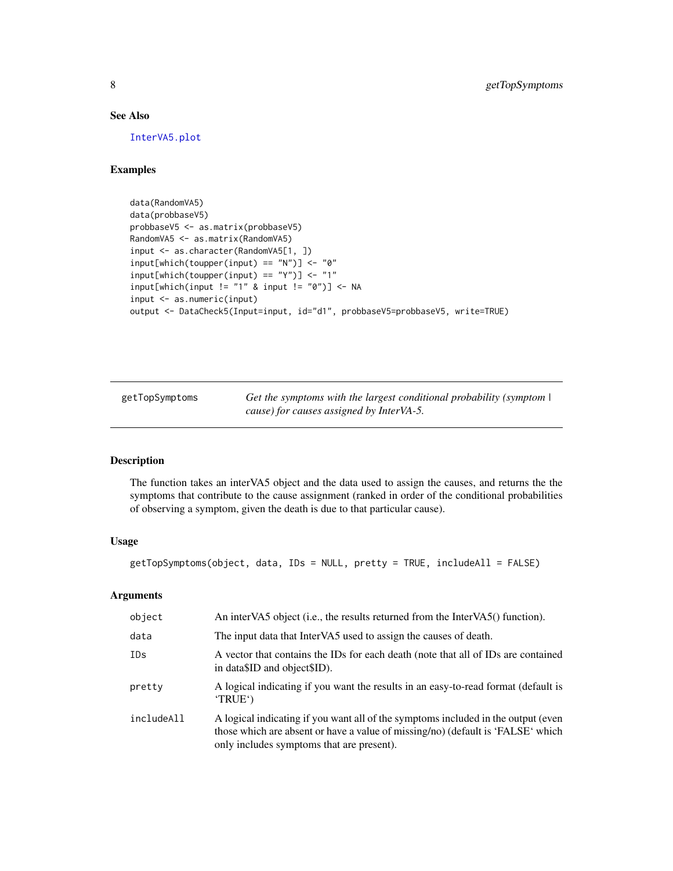# See Also

[InterVA5.plot](#page-11-1)

# Examples

```
data(RandomVA5)
data(probbaseV5)
probbaseV5 <- as.matrix(probbaseV5)
RandomVA5 <- as.matrix(RandomVA5)
input <- as.character(RandomVA5[1, ])
input[which(toupper(input) == "N")] <- "0"
input[which(toupper(input) == "Y")] < - "1"input[which(input != "1" &amp; input != "0")] < -NAinput <- as.numeric(input)
output <- DataCheck5(Input=input, id="d1", probbaseV5=probbaseV5, write=TRUE)
```
<span id="page-7-1"></span>getTopSymptoms *Get the symptoms with the largest conditional probability (symptom | cause) for causes assigned by InterVA-5.*

# Description

The function takes an interVA5 object and the data used to assign the causes, and returns the the symptoms that contribute to the cause assignment (ranked in order of the conditional probabilities of observing a symptom, given the death is due to that particular cause).

#### Usage

getTopSymptoms(object, data, IDs = NULL, pretty = TRUE, includeAll = FALSE)

#### Arguments

| object     | An interVA5 object (i.e., the results returned from the InterVA5() function).                                                                                                                                     |
|------------|-------------------------------------------------------------------------------------------------------------------------------------------------------------------------------------------------------------------|
| data       | The input data that InterVA5 used to assign the causes of death.                                                                                                                                                  |
| IDs        | A vector that contains the IDs for each death (note that all of IDs are contained<br>in data SID and object SID).                                                                                                 |
| pretty     | A logical indicating if you want the results in an easy-to-read format (default is<br>'TRUE')                                                                                                                     |
| includeAll | A logical indicating if you want all of the symptoms included in the output (even<br>those which are absent or have a value of missing/no) (default is 'FALSE' which<br>only includes symptoms that are present). |

<span id="page-7-0"></span>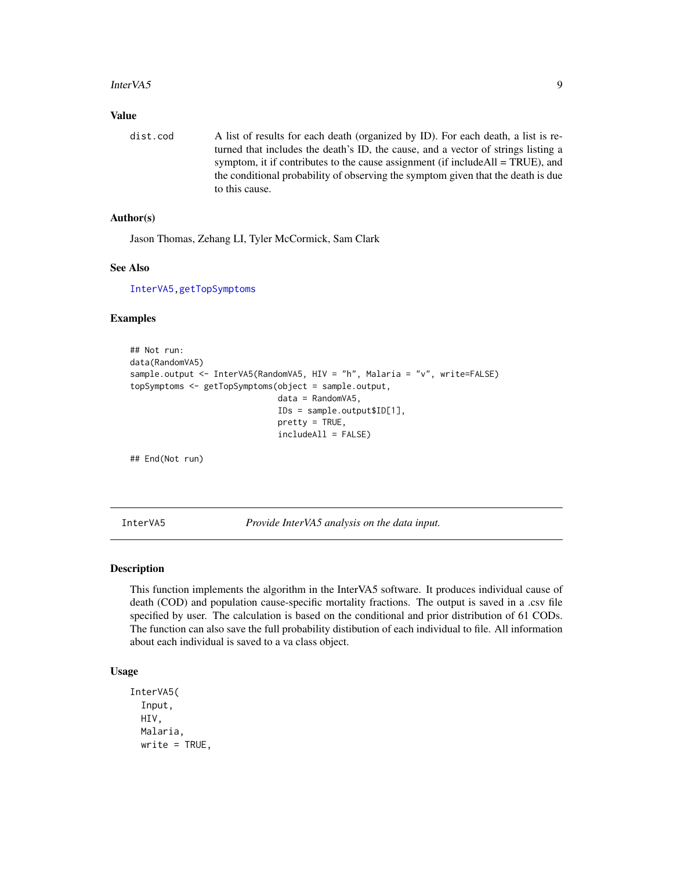#### <span id="page-8-0"></span>InterVA5 9

### Value

dist.cod A list of results for each death (organized by ID). For each death, a list is returned that includes the death's ID, the cause, and a vector of strings listing a symptom, it if contributes to the cause assignment (if includeAll = TRUE), and the conditional probability of observing the symptom given that the death is due to this cause.

# Author(s)

Jason Thomas, Zehang LI, Tyler McCormick, Sam Clark

# See Also

[InterVA5](#page-8-1)[,getTopSymptoms](#page-7-1)

#### Examples

```
## Not run:
data(RandomVA5)
sample.output <- InterVA5(RandomVA5, HIV = "h", Malaria = "v", write=FALSE)
topSymptoms <- getTopSymptoms(object = sample.output,
                              data = RandomVA5,
                              IDs = sample.output$ID[1],
                              pretty = TRUE,
                              includeAll = FALSE)
```
## End(Not run)

<span id="page-8-1"></span>InterVA5 *Provide InterVA5 analysis on the data input.*

#### Description

This function implements the algorithm in the InterVA5 software. It produces individual cause of death (COD) and population cause-specific mortality fractions. The output is saved in a .csv file specified by user. The calculation is based on the conditional and prior distribution of 61 CODs. The function can also save the full probability distibution of each individual to file. All information about each individual is saved to a va class object.

# Usage

```
InterVA5(
  Input,
 HIV,
 Malaria,
 write = TRUE,
```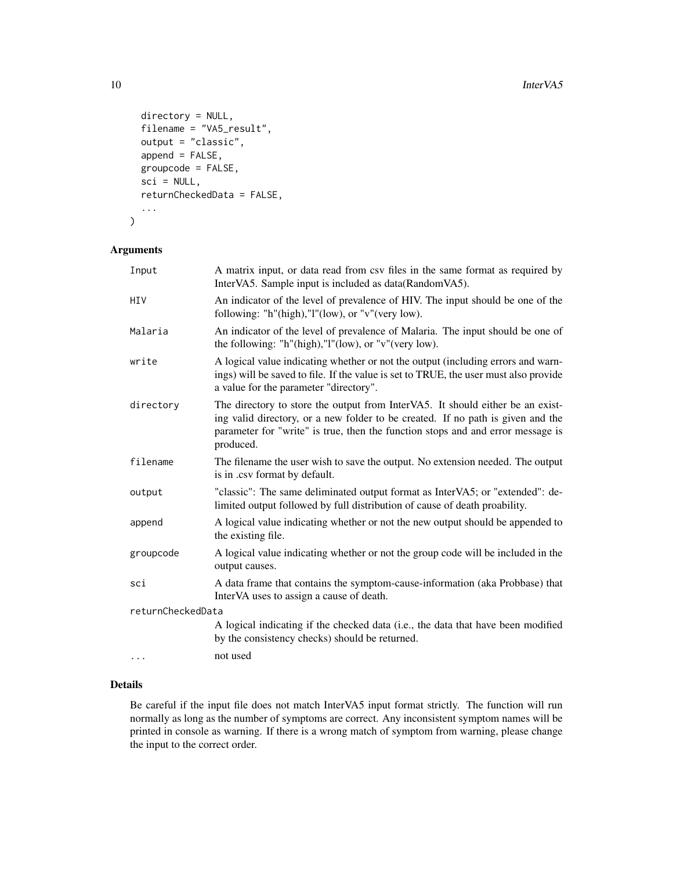```
directory = NULL,
filename = "VA5_result",
output = "classic",
append = FALSE,
groupcode = FALSE,
sci = NULL,returnCheckedData = FALSE,
...
```

```
)
```
# Arguments

| Input             | A matrix input, or data read from csv files in the same format as required by<br>InterVA5. Sample input is included as data(RandomVA5).                                                                                                                           |
|-------------------|-------------------------------------------------------------------------------------------------------------------------------------------------------------------------------------------------------------------------------------------------------------------|
| HIV               | An indicator of the level of prevalence of HIV. The input should be one of the<br>following: "h"(high),"l"(low), or "v"(very low).                                                                                                                                |
| Malaria           | An indicator of the level of prevalence of Malaria. The input should be one of<br>the following: "h"(high)," $l$ "(low), or "v"(very low).                                                                                                                        |
| write             | A logical value indicating whether or not the output (including errors and warn-<br>ings) will be saved to file. If the value is set to TRUE, the user must also provide<br>a value for the parameter "directory".                                                |
| directory         | The directory to store the output from InterVA5. It should either be an exist-<br>ing valid directory, or a new folder to be created. If no path is given and the<br>parameter for "write" is true, then the function stops and and error message is<br>produced. |
| filename          | The filename the user wish to save the output. No extension needed. The output<br>is in .csv format by default.                                                                                                                                                   |
| output            | "classic": The same deliminated output format as InterVA5; or "extended": de-<br>limited output followed by full distribution of cause of death proability.                                                                                                       |
| append            | A logical value indicating whether or not the new output should be appended to<br>the existing file.                                                                                                                                                              |
| groupcode         | A logical value indicating whether or not the group code will be included in the<br>output causes.                                                                                                                                                                |
| sci               | A data frame that contains the symptom-cause-information (aka Probbase) that<br>InterVA uses to assign a cause of death.                                                                                                                                          |
| returnCheckedData |                                                                                                                                                                                                                                                                   |
|                   | A logical indicating if the checked data (i.e., the data that have been modified<br>by the consistency checks) should be returned.                                                                                                                                |
| $\cdots$          | not used                                                                                                                                                                                                                                                          |

# Details

Be careful if the input file does not match InterVA5 input format strictly. The function will run normally as long as the number of symptoms are correct. Any inconsistent symptom names will be printed in console as warning. If there is a wrong match of symptom from warning, please change the input to the correct order.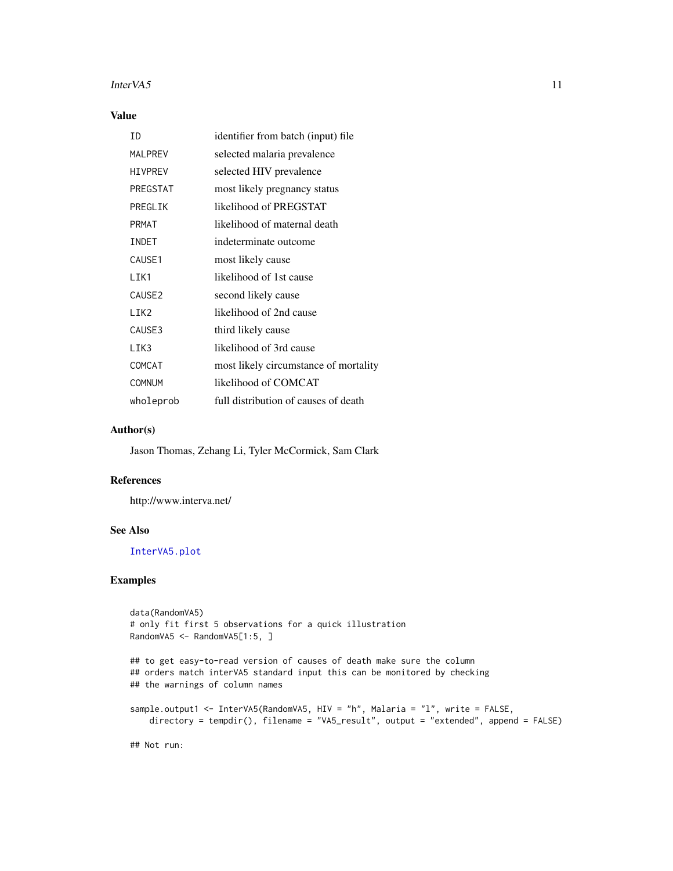#### <span id="page-10-0"></span>InterVA5 11

# Value

| ID                 | identifier from batch (input) file    |
|--------------------|---------------------------------------|
| <b>MALPREV</b>     | selected malaria prevalence           |
| <b>HIVPREV</b>     | selected HIV prevalence               |
| PREGSTAT           | most likely pregnancy status          |
| PREGLIK            | likelihood of PREGSTAT                |
| <b>PRMAT</b>       | likelihood of maternal death          |
| INDET              | indeterminate outcome                 |
| CAUSE1             | most likely cause                     |
| LIK1               | likelihood of 1st cause               |
| CAUSE <sub>2</sub> | second likely cause                   |
| LIK2               | likelihood of 2nd cause               |
| CAUSE3             | third likely cause                    |
| LIK3               | likelihood of 3rd cause               |
| COMCAT             | most likely circumstance of mortality |
| <b>COMNUM</b>      | likelihood of COMCAT                  |
| wholeprob          | full distribution of causes of death  |

# Author(s)

Jason Thomas, Zehang Li, Tyler McCormick, Sam Clark

# References

http://www.interva.net/

# See Also

[InterVA5.plot](#page-11-1)

# Examples

```
data(RandomVA5)
# only fit first 5 observations for a quick illustration
RandomVA5 <- RandomVA5[1:5, ]
## to get easy-to-read version of causes of death make sure the column
## orders match interVA5 standard input this can be monitored by checking
## the warnings of column names
sample.output1 <- InterVA5(RandomVA5, HIV = "h", Malaria = "l", write = FALSE,
   directory = tempdir(), filename = "VA5_result", output = "extended", append = FALSE)
```
## Not run: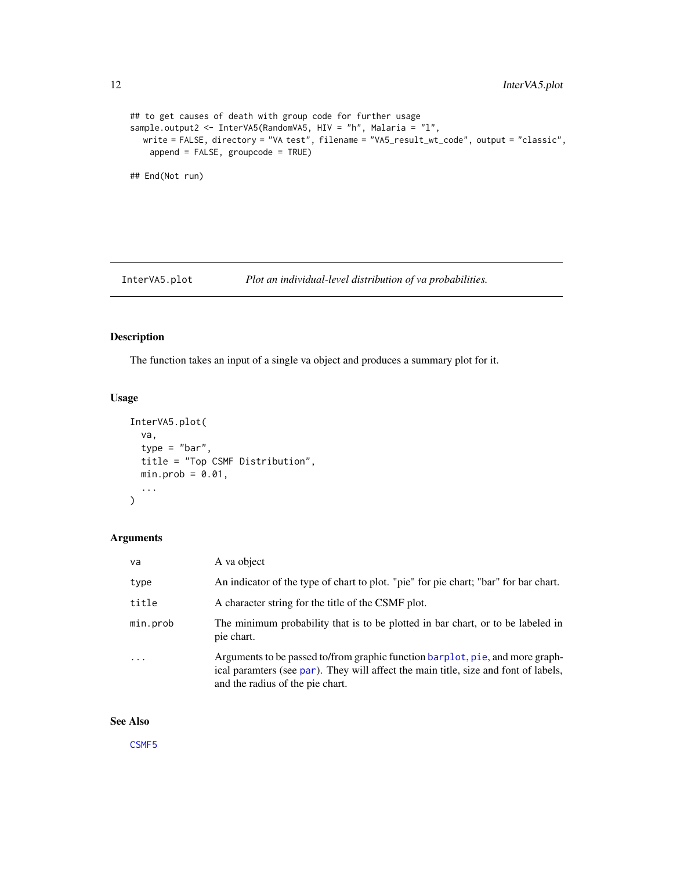```
## to get causes of death with group code for further usage
sample.output2 <- InterVA5(RandomVA5, HIV = "h", Malaria = "l",
  write = FALSE, directory = "VA test", filename = "VA5_result_wt_code", output = "classic",
   append = FALSE, groupcode = TRUE)
## End(Not run)
```
<span id="page-11-1"></span>InterVA5.plot *Plot an individual-level distribution of va probabilities.*

# Description

The function takes an input of a single va object and produces a summary plot for it.

# Usage

```
InterVA5.plot(
  va,
  type = "bar",title = "Top CSMF Distribution",
 min.prob = 0.01,...
)
```
# Arguments

| va       | A va object                                                                                                                                                                                              |
|----------|----------------------------------------------------------------------------------------------------------------------------------------------------------------------------------------------------------|
| type     | An indicator of the type of chart to plot. "pie" for pie chart; "bar" for bar chart.                                                                                                                     |
| title    | A character string for the title of the CSMF plot.                                                                                                                                                       |
| min.prob | The minimum probability that is to be plotted in bar chart, or to be labeled in<br>pie chart.                                                                                                            |
| $\cdots$ | Arguments to be passed to/from graphic function barplot, pie, and more graph-<br>ical paramters (see par). They will affect the main title, size and font of labels,<br>and the radius of the pie chart. |

# See Also

[CSMF5](#page-4-1)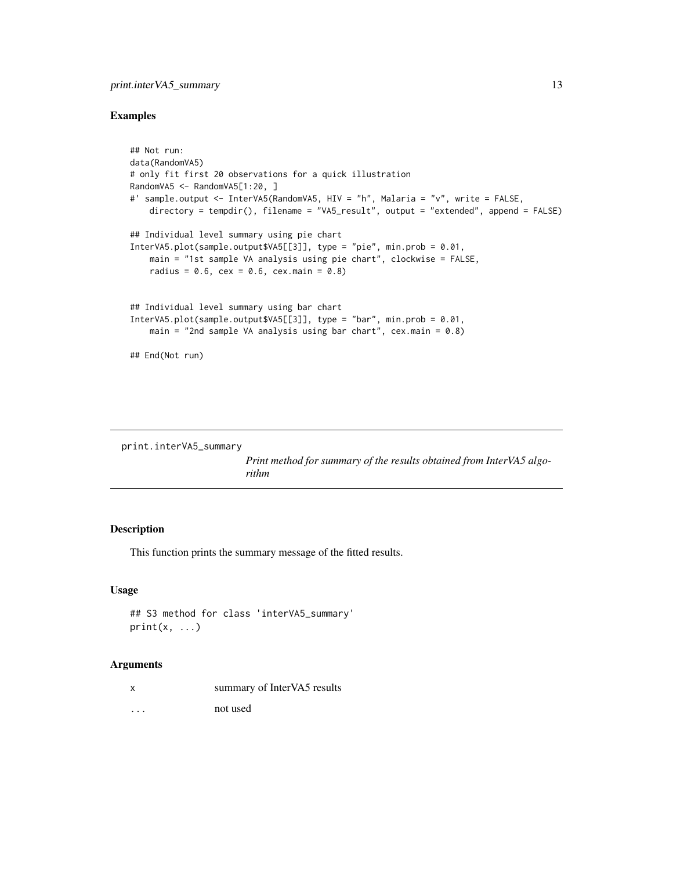# <span id="page-12-0"></span>print.interVA5\_summary 13

#### Examples

```
## Not run:
data(RandomVA5)
# only fit first 20 observations for a quick illustration
RandomVA5 <- RandomVA5[1:20, ]
#' sample.output <- InterVA5(RandomVA5, HIV = "h", Malaria = "v", write = FALSE,
   directory = tempdir(), filename = "VA5_result", output = "extended", append = FALSE)
## Individual level summary using pie chart
InterVA5.plot(sample.output$VA5[[3]], type = "pie", min.prob = 0.01,
   main = "1st sample VA analysis using pie chart", clockwise = FALSE,
   radius = 0.6, cex = 0.6, cex.main = 0.8)
## Individual level summary using bar chart
InterVA5.plot(sample.output$VA5[[3]], type = "bar", min.prob = 0.01,
    main = "2nd sample VA analysis using bar chart", cex.mainloop = 0.8)
## End(Not run)
```

```
print.interVA5_summary
```
*Print method for summary of the results obtained from InterVA5 algorithm*

# Description

This function prints the summary message of the fitted results.

#### Usage

```
## S3 method for class 'interVA5_summary'
print(x, \ldots)
```
#### Arguments

| x                       | summary of InterVA5 results |
|-------------------------|-----------------------------|
| $\cdot$ $\cdot$ $\cdot$ | not used                    |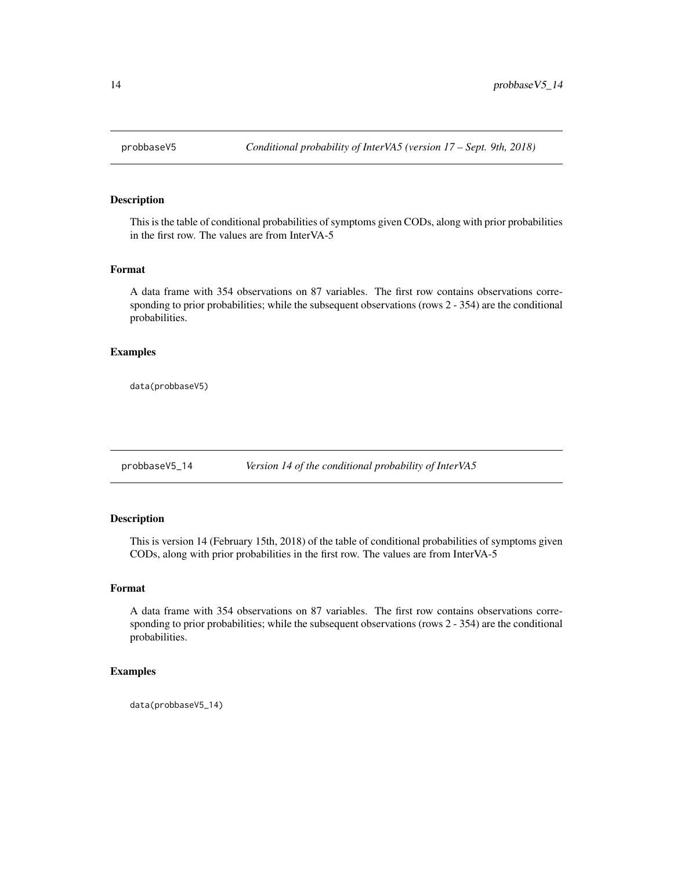<span id="page-13-0"></span>

This is the table of conditional probabilities of symptoms given CODs, along with prior probabilities in the first row. The values are from InterVA-5

#### Format

A data frame with 354 observations on 87 variables. The first row contains observations corresponding to prior probabilities; while the subsequent observations (rows 2 - 354) are the conditional probabilities.

# Examples

data(probbaseV5)

probbaseV5\_14 *Version 14 of the conditional probability of InterVA5*

# Description

This is version 14 (February 15th, 2018) of the table of conditional probabilities of symptoms given CODs, along with prior probabilities in the first row. The values are from InterVA-5

#### Format

A data frame with 354 observations on 87 variables. The first row contains observations corresponding to prior probabilities; while the subsequent observations (rows 2 - 354) are the conditional probabilities.

# Examples

data(probbaseV5\_14)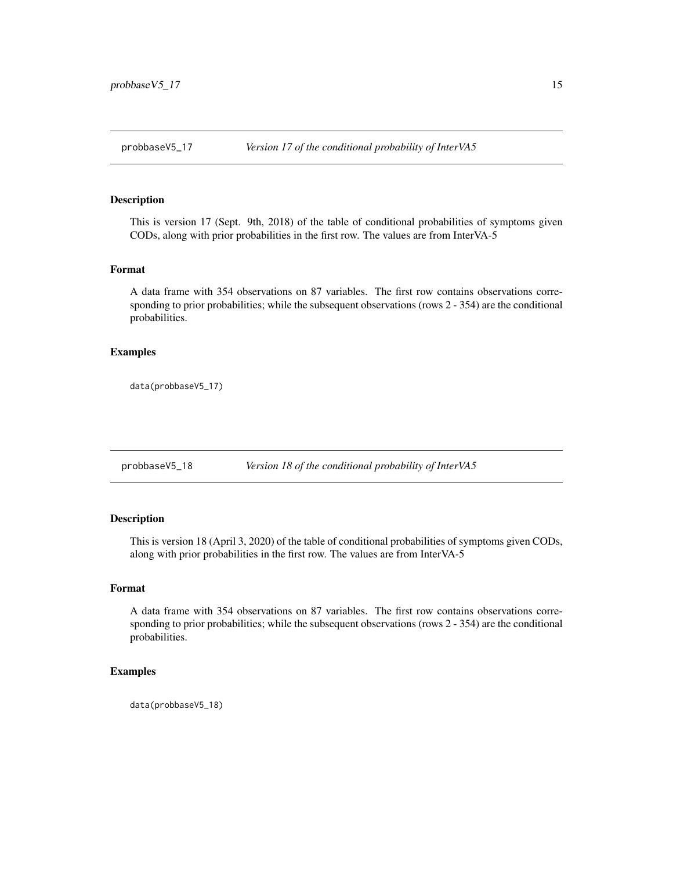<span id="page-14-0"></span>

This is version 17 (Sept. 9th, 2018) of the table of conditional probabilities of symptoms given CODs, along with prior probabilities in the first row. The values are from InterVA-5

#### Format

A data frame with 354 observations on 87 variables. The first row contains observations corresponding to prior probabilities; while the subsequent observations (rows 2 - 354) are the conditional probabilities.

# Examples

data(probbaseV5\_17)

probbaseV5\_18 *Version 18 of the conditional probability of InterVA5*

# Description

This is version 18 (April 3, 2020) of the table of conditional probabilities of symptoms given CODs, along with prior probabilities in the first row. The values are from InterVA-5

#### Format

A data frame with 354 observations on 87 variables. The first row contains observations corresponding to prior probabilities; while the subsequent observations (rows 2 - 354) are the conditional probabilities.

# Examples

data(probbaseV5\_18)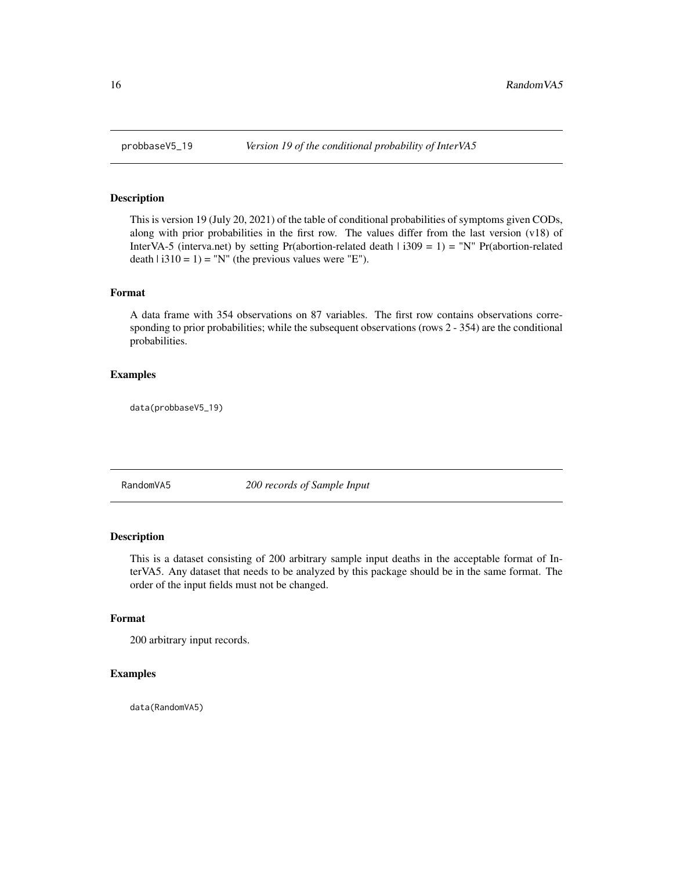<span id="page-15-0"></span>

This is version 19 (July 20, 2021) of the table of conditional probabilities of symptoms given CODs, along with prior probabilities in the first row. The values differ from the last version (v18) of InterVA-5 (interva.net) by setting Pr(abortion-related death  $\vert$  i309 = 1) = "N" Pr(abortion-related death  $\vert$  i310 = 1) = "N" (the previous values were "E").

#### Format

A data frame with 354 observations on 87 variables. The first row contains observations corresponding to prior probabilities; while the subsequent observations (rows 2 - 354) are the conditional probabilities.

# Examples

data(probbaseV5\_19)

RandomVA5 *200 records of Sample Input*

#### Description

This is a dataset consisting of 200 arbitrary sample input deaths in the acceptable format of InterVA5. Any dataset that needs to be analyzed by this package should be in the same format. The order of the input fields must not be changed.

#### Format

200 arbitrary input records.

#### Examples

data(RandomVA5)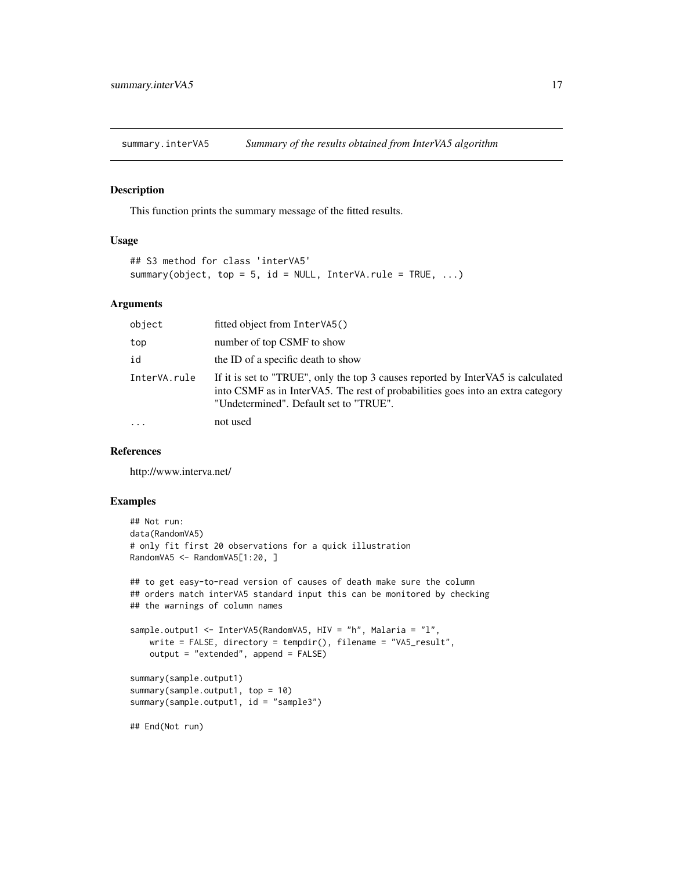<span id="page-16-0"></span>summary.interVA5 *Summary of the results obtained from InterVA5 algorithm*

#### Description

This function prints the summary message of the fitted results.

#### Usage

```
## S3 method for class 'interVA5'
summary(object, top = 5, id = NULL, InterVA.rule = TRUE, \dots)
```
#### Arguments

| object       | fitted object from InterVA5()                                                                                                                                                                                 |
|--------------|---------------------------------------------------------------------------------------------------------------------------------------------------------------------------------------------------------------|
| top          | number of top CSMF to show                                                                                                                                                                                    |
| id           | the ID of a specific death to show                                                                                                                                                                            |
| InterVA.rule | If it is set to "TRUE", only the top 3 causes reported by InterVA5 is calculated<br>into CSMF as in InterVA5. The rest of probabilities goes into an extra category<br>"Undetermined". Default set to "TRUE". |
| .            | not used                                                                                                                                                                                                      |

# References

http://www.interva.net/

#### Examples

```
## Not run:
data(RandomVA5)
# only fit first 20 observations for a quick illustration
RandomVA5 <- RandomVA5[1:20, ]
## to get easy-to-read version of causes of death make sure the column
## orders match interVA5 standard input this can be monitored by checking
## the warnings of column names
sample.output1 <- InterVA5(RandomVA5, HIV = "h", Malaria = "l",
   write = FALSE, directory = tempdir(), filename = "VA5_result",
   output = "extended", append = FALSE)
summary(sample.output1)
summary(sample.output1, top = 10)
summary(sample.output1, id = "sample3")
## End(Not run)
```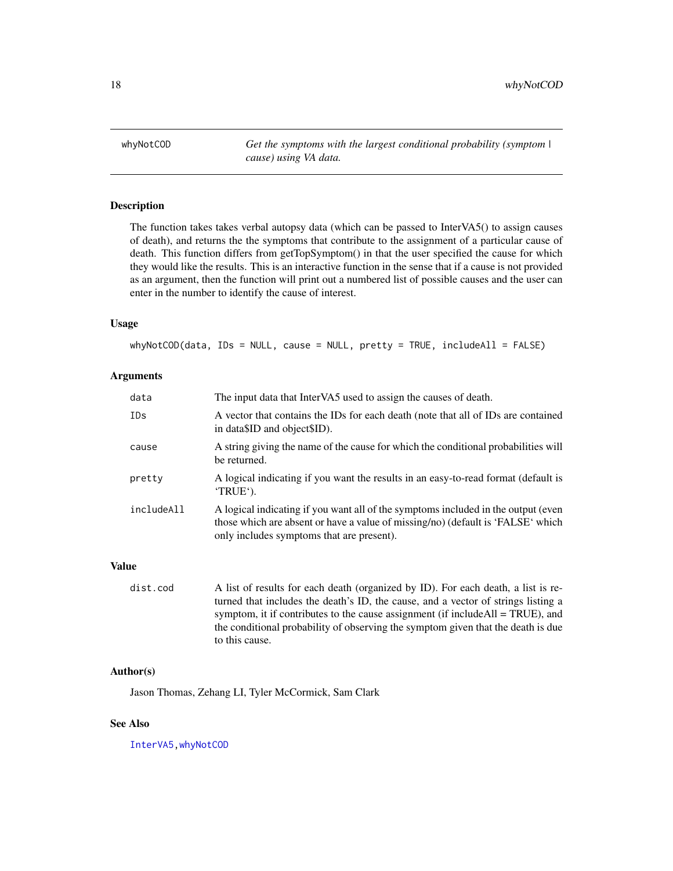<span id="page-17-1"></span><span id="page-17-0"></span>whyNotCOD *Get the symptoms with the largest conditional probability (symptom | cause) using VA data.*

#### Description

The function takes takes verbal autopsy data (which can be passed to InterVA5() to assign causes of death), and returns the the symptoms that contribute to the assignment of a particular cause of death. This function differs from getTopSymptom() in that the user specified the cause for which they would like the results. This is an interactive function in the sense that if a cause is not provided as an argument, then the function will print out a numbered list of possible causes and the user can enter in the number to identify the cause of interest.

#### Usage

whyNotCOD(data, IDs = NULL, cause = NULL, pretty = TRUE, includeAll = FALSE)

#### Arguments

| data       | The input data that InterVA5 used to assign the causes of death.                                                                                                                                                  |
|------------|-------------------------------------------------------------------------------------------------------------------------------------------------------------------------------------------------------------------|
| IDs        | A vector that contains the IDs for each death (note that all of IDs are contained<br>in data\$ID and object\$ID).                                                                                                 |
| cause      | A string giving the name of the cause for which the conditional probabilities will<br>be returned.                                                                                                                |
| pretty     | A logical indicating if you want the results in an easy-to-read format (default is<br>'TRUE').                                                                                                                    |
| includeAll | A logical indicating if you want all of the symptoms included in the output (even<br>those which are absent or have a value of missing/no) (default is 'FALSE' which<br>only includes symptoms that are present). |

#### Value

```
dist.cod A list of results for each death (organized by ID). For each death, a list is re-
                   turned that includes the death's ID, the cause, and a vector of strings listing a
                   symptom, it if contributes to the cause assignment (if includeAll = TRUE), and
                   the conditional probability of observing the symptom given that the death is due
                   to this cause.
```
# Author(s)

Jason Thomas, Zehang LI, Tyler McCormick, Sam Clark

#### See Also

[InterVA5](#page-8-1)[,whyNotCOD](#page-17-1)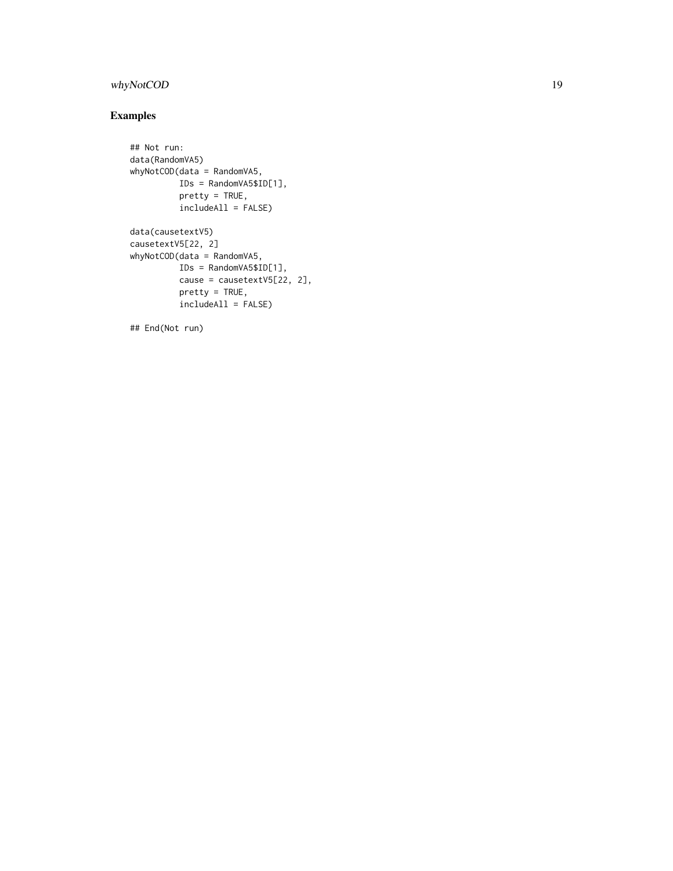# whyNotCOD 19

# Examples

```
## Not run:
data(RandomVA5)
whyNotCOD(data = RandomVA5,
         IDs = RandomVA5$ID[1],
         pretty = TRUE,
         includeAll = FALSE)
data(causetextV5)
causetextV5[22, 2]
whyNotCOD(data = RandomVA5,
         IDs = RandomVA5$ID[1],
         cause = causetextV5[22, 2],
         pretty = TRUE,
         includeAll = FALSE)
```
## End(Not run)